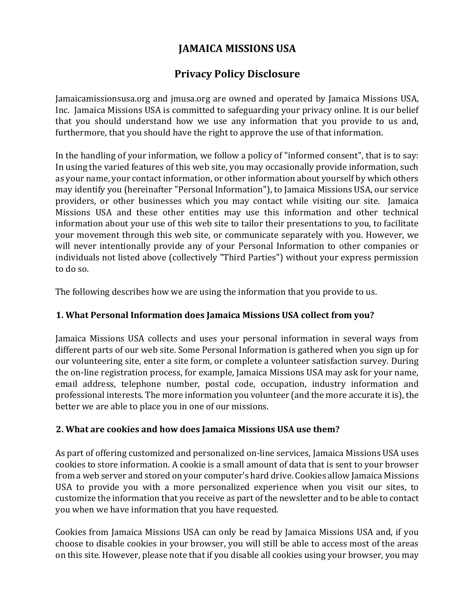# **JAMAICA MISSIONS USA**

# **Privacy Policy Disclosure**

Jamaicamissionsusa.org and jmusa.org are owned and operated by Jamaica Missions USA, Inc. Jamaica Missions USA is committed to safeguarding your privacy online. It is our belief that you should understand how we use any information that you provide to us and, furthermore, that you should have the right to approve the use of that information.

In the handling of your information, we follow a policy of "informed consent", that is to say: In using the varied features of this web site, you may occasionally provide information, such as your name, your contact information, or other information about yourself by which others may identify you (hereinafter "Personal Information"), to Jamaica Missions USA, our service providers, or other businesses which you may contact while visiting our site. Jamaica Missions USA and these other entities may use this information and other technical information about your use of this web site to tailor their presentations to you, to facilitate your movement through this web site, or communicate separately with you. However, we will never intentionally provide any of your Personal Information to other companies or individuals not listed above (collectively "Third Parties") without your express permission to do so.

The following describes how we are using the information that you provide to us.

## **1. What Personal Information does Jamaica Missions USA collect from you?**

Jamaica Missions USA collects and uses your personal information in several ways from different parts of our web site. Some Personal Information is gathered when you sign up for our volunteering site, enter a site form, or complete a volunteer satisfaction survey. During the on-line registration process, for example, Jamaica Missions USA may ask for your name, email address, telephone number, postal code, occupation, industry information and professional interests. The more information you volunteer (and the more accurate it is), the better we are able to place you in one of our missions.

## **2. What are cookies and how does Jamaica Missions USA use them?**

As part of offering customized and personalized on-line services, Jamaica Missions USA uses cookies to store information. A cookie is a small amount of data that is sent to your browser from a web server and stored on your computer's hard drive. Cookies allow Jamaica Missions USA to provide you with a more personalized experience when you visit our sites, to customize the information that you receive as part of the newsletter and to be able to contact you when we have information that you have requested.

Cookies from Jamaica Missions USA can only be read by Jamaica Missions USA and, if you choose to disable cookies in your browser, you will still be able to access most of the areas on this site. However, please note that if you disable all cookies using your browser, you may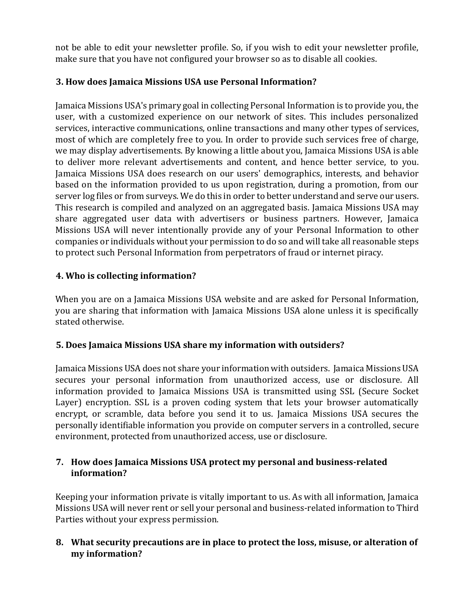not be able to edit your newsletter profile. So, if you wish to edit your newsletter profile, make sure that you have not configured your browser so as to disable all cookies.

# **3. How does Jamaica Missions USA use Personal Information?**

Jamaica Missions USA's primary goal in collecting Personal Information is to provide you, the user, with a customized experience on our network of sites. This includes personalized services, interactive communications, online transactions and many other types of services, most of which are completely free to you. In order to provide such services free of charge, we may display advertisements. By knowing a little about you, Jamaica Missions USA is able to deliver more relevant advertisements and content, and hence better service, to you. Jamaica Missions USA does research on our users' demographics, interests, and behavior based on the information provided to us upon registration, during a promotion, from our server log files or from surveys. We do this in order to better understand and serve our users. This research is compiled and analyzed on an aggregated basis. Jamaica Missions USA may share aggregated user data with advertisers or business partners. However, Jamaica Missions USA will never intentionally provide any of your Personal Information to other companies or individuals without your permission to do so and will take all reasonable steps to protect such Personal Information from perpetrators of fraud or internet piracy.

# **4. Who is collecting information?**

When you are on a Jamaica Missions USA website and are asked for Personal Information, you are sharing that information with Jamaica Missions USA alone unless it is specifically stated otherwise.

# **5. Does Jamaica Missions USA share my information with outsiders?**

Jamaica Missions USA does not share your information with outsiders. Jamaica Missions USA secures your personal information from unauthorized access, use or disclosure. All information provided to Jamaica Missions USA is transmitted using SSL (Secure Socket Layer) encryption. SSL is a proven coding system that lets your browser automatically encrypt, or scramble, data before you send it to us. Jamaica Missions USA secures the personally identifiable information you provide on computer servers in a controlled, secure environment, protected from unauthorized access, use or disclosure.

## **7. How does Jamaica Missions USA protect my personal and business-related information?**

Keeping your information private is vitally important to us. As with all information, Jamaica Missions USA will never rent or sell your personal and business-related information to Third Parties without your express permission.

# **8. What security precautions are in place to protect the loss, misuse, or alteration of my information?**